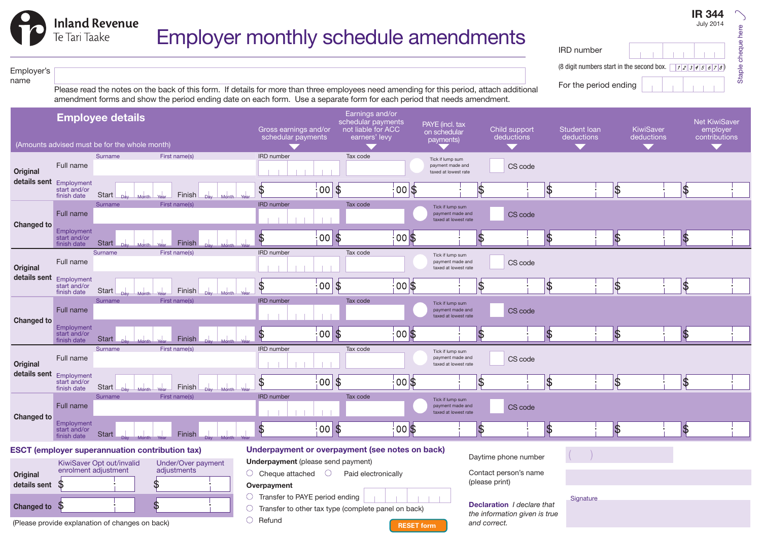IRD number (8 digit numbers start in the second box.  $\sqrt{12346678}$ 

For the period ending

IR 344 July 2014

#### Employer's name

**Inland Revenue** 

Te Tari Taake

Please read the notes on the back of this form. If details for more than three employees need amending for this period, attach additional amendment forms and show the period ending date on each form. Use a separate form for each period that needs amendment.